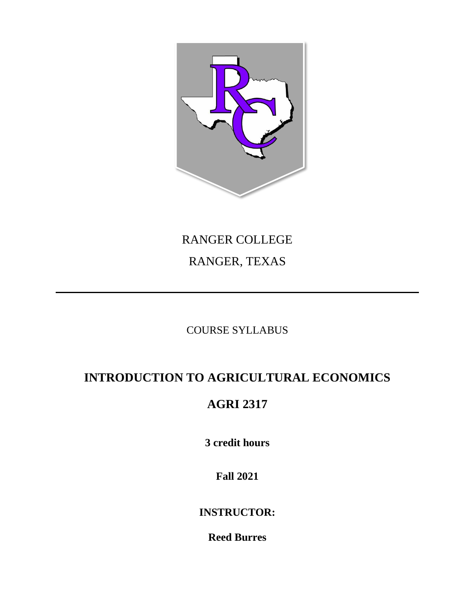

# RANGER COLLEGE RANGER, TEXAS

## COURSE SYLLABUS

# **INTRODUCTION TO AGRICULTURAL ECONOMICS**

## **AGRI 2317**

**3 credit hours**

**Fall 2021**

**INSTRUCTOR:**

**Reed Burres**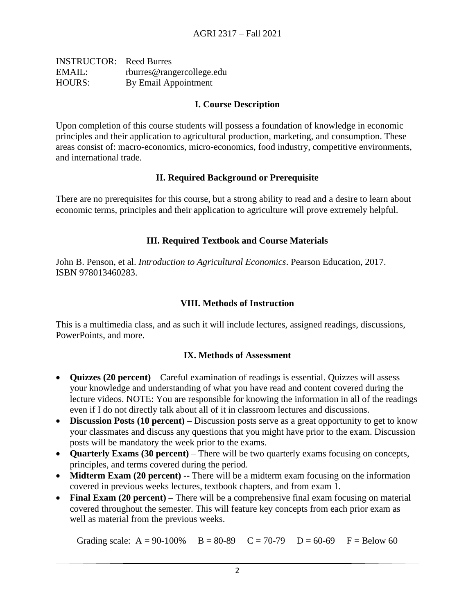| <b>INSTRUCTOR:</b> Reed Burres |                           |
|--------------------------------|---------------------------|
| EMAIL:                         | rburres@rangercollege.edu |
| <b>HOURS:</b>                  | By Email Appointment      |

#### **I. Course Description**

Upon completion of this course students will possess a foundation of knowledge in economic principles and their application to agricultural production, marketing, and consumption. These areas consist of: macro-economics, micro-economics, food industry, competitive environments, and international trade.

#### **II. Required Background or Prerequisite**

There are no prerequisites for this course, but a strong ability to read and a desire to learn about economic terms, principles and their application to agriculture will prove extremely helpful.

#### **III. Required Textbook and Course Materials**

John B. Penson, et al. *Introduction to Agricultural Economics*. Pearson Education, 2017. ISBN 978013460283.

#### **VIII. Methods of Instruction**

This is a multimedia class, and as such it will include lectures, assigned readings, discussions, PowerPoints, and more.

#### **IX. Methods of Assessment**

- **Quizzes (20 percent)** Careful examination of readings is essential. Quizzes will assess your knowledge and understanding of what you have read and content covered during the lecture videos. NOTE: You are responsible for knowing the information in all of the readings even if I do not directly talk about all of it in classroom lectures and discussions.
- **Discussion Posts (10 percent)** Discussion posts serve as a great opportunity to get to know your classmates and discuss any questions that you might have prior to the exam. Discussion posts will be mandatory the week prior to the exams.
- **Quarterly Exams (30 percent)** There will be two quarterly exams focusing on concepts, principles, and terms covered during the period.
- **Midterm Exam (20 percent)** -- There will be a midterm exam focusing on the information covered in previous weeks lectures, textbook chapters, and from exam 1.
- **Final Exam (20 percent)** There will be a comprehensive final exam focusing on material covered throughout the semester. This will feature key concepts from each prior exam as well as material from the previous weeks.

Grading scale:  $A = 90-100\%$  B = 80-89 C = 70-79 D = 60-69 F = Below 60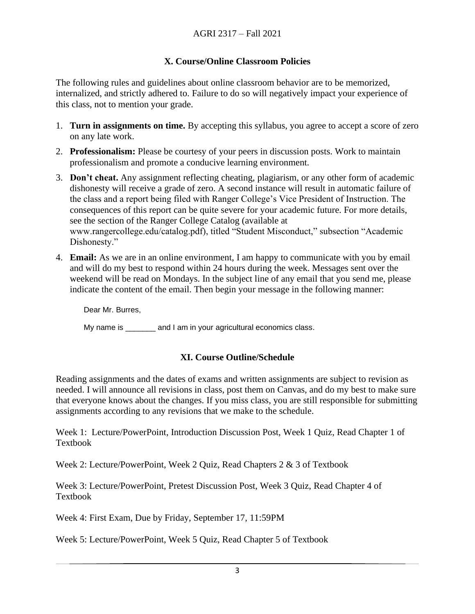#### **X. Course/Online Classroom Policies**

The following rules and guidelines about online classroom behavior are to be memorized, internalized, and strictly adhered to. Failure to do so will negatively impact your experience of this class, not to mention your grade.

- 1. **Turn in assignments on time.** By accepting this syllabus, you agree to accept a score of zero on any late work.
- 2. **Professionalism:** Please be courtesy of your peers in discussion posts. Work to maintain professionalism and promote a conducive learning environment.
- 3. **Don't cheat.** Any assignment reflecting cheating, plagiarism, or any other form of academic dishonesty will receive a grade of zero. A second instance will result in automatic failure of the class and a report being filed with Ranger College's Vice President of Instruction. The consequences of this report can be quite severe for your academic future. For more details, see the section of the Ranger College Catalog (available at www.rangercollege.edu/catalog.pdf), titled "Student Misconduct," subsection "Academic Dishonesty."
- 4. **Email:** As we are in an online environment, I am happy to communicate with you by email and will do my best to respond within 24 hours during the week. Messages sent over the weekend will be read on Mondays. In the subject line of any email that you send me, please indicate the content of the email. Then begin your message in the following manner:

Dear Mr. Burres,

My name is \_\_\_\_\_\_\_ and I am in your agricultural economics class.

#### **XI. Course Outline/Schedule**

Reading assignments and the dates of exams and written assignments are subject to revision as needed. I will announce all revisions in class, post them on Canvas, and do my best to make sure that everyone knows about the changes. If you miss class, you are still responsible for submitting assignments according to any revisions that we make to the schedule.

Week 1: Lecture/PowerPoint, Introduction Discussion Post, Week 1 Quiz, Read Chapter 1 of Textbook

Week 2: Lecture/PowerPoint, Week 2 Quiz, Read Chapters 2 & 3 of Textbook

Week 3: Lecture/PowerPoint, Pretest Discussion Post, Week 3 Quiz, Read Chapter 4 of Textbook

Week 4: First Exam, Due by Friday, September 17, 11:59PM

Week 5: Lecture/PowerPoint, Week 5 Quiz, Read Chapter 5 of Textbook